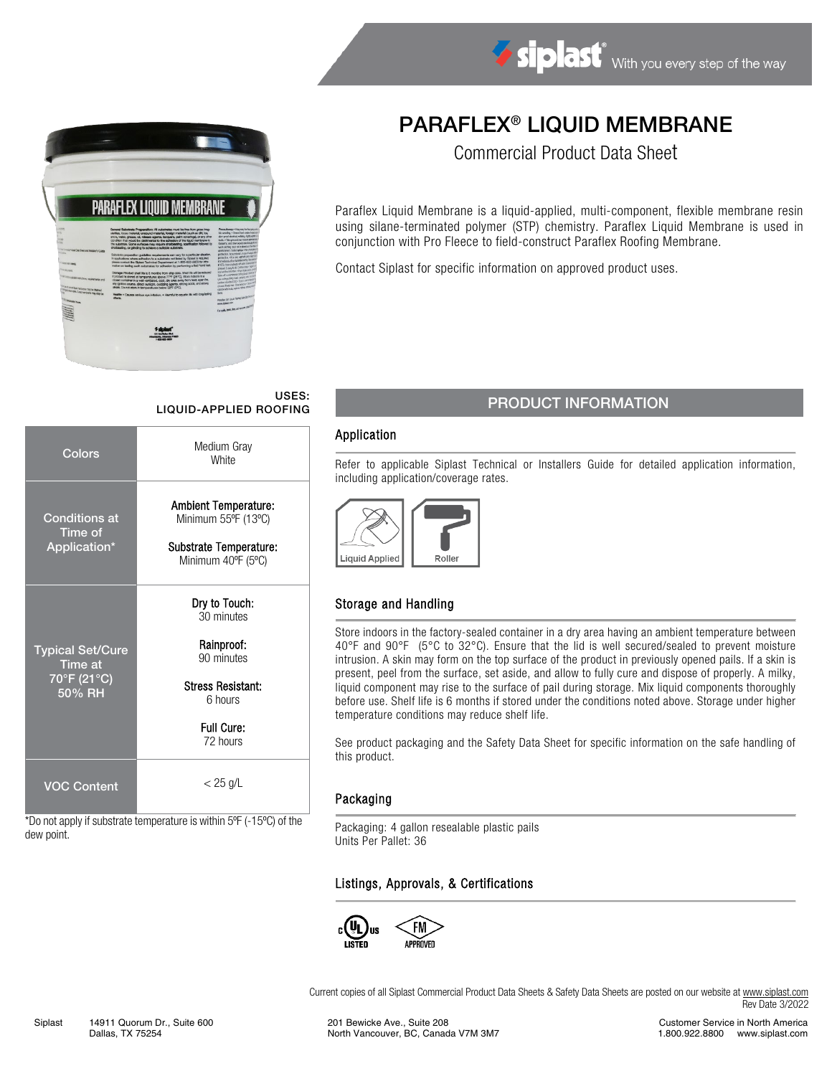

# PARAFLEX® LIQUID MEMBRANE

Commercial Product Data Sheet

Paraflex Liquid Membrane is a liquid-applied, multi-component, flexible membrane resin using silane-terminated polymer (STP) chemistry. Paraflex Liquid Membrane is used in conjunction with Pro Fleece to field-construct Paraflex Roofing Membrane.

Contact Siplast for specific information on approved product uses.

#### USES: LIQUID-APPLIED ROOFING

| Colors                                                      | Medium Gray<br><b>White</b>                                                                                              |  |
|-------------------------------------------------------------|--------------------------------------------------------------------------------------------------------------------------|--|
| <b>Conditions at</b><br>Time of<br>Application*             | <b>Ambient Temperature:</b><br>Minimum 55°F (13°C)<br>Substrate Temperature:<br>Minimum 40°F (5°C)                       |  |
| <b>Typical Set/Cure</b><br>Time at<br>70°F (21°C)<br>50% RH | Dry to Touch:<br>30 minutes<br>Rainproof:<br>90 minutes<br><b>Stress Resistant:</b><br>6 hours<br>Full Cure:<br>72 hours |  |
| VOC Content                                                 | $<$ 25 g/L                                                                                                               |  |

\*Do not apply if substrate temperature is within 5ºF (-15ºC) of the dew point.

# PRODUCT INFORMATION

#### Application

Refer to applicable Siplast Technical or Installers Guide for detailed application information, including application/coverage rates.



### Storage and Handling

Store indoors in the factory-sealed container in a dry area having an ambient temperature between 40°F and 90°F (5°C to 32°C). Ensure that the lid is well secured/sealed to prevent moisture intrusion. A skin may form on the top surface of the product in previously opened pails. If a skin is present, peel from the surface, set aside, and allow to fully cure and dispose of properly. A milky, liquid component may rise to the surface of pail during storage. Mix liquid components thoroughly before use. Shelf life is 6 months if stored under the conditions noted above. Storage under higher temperature conditions may reduce shelf life.

See product packaging and the Safety Data Sheet for specific information on the safe handling of this product.

#### Packaging

Packaging: 4 gallon resealable plastic pails Units Per Pallet: 36

### Listings, Approvals, & Certifications



Current copies of all Siplast Commercial Product Data Sheets & Safety Data Sheets are posted on our website a[t www.siplast.com](http://www.siplast.com/) Rev Date 3/2022